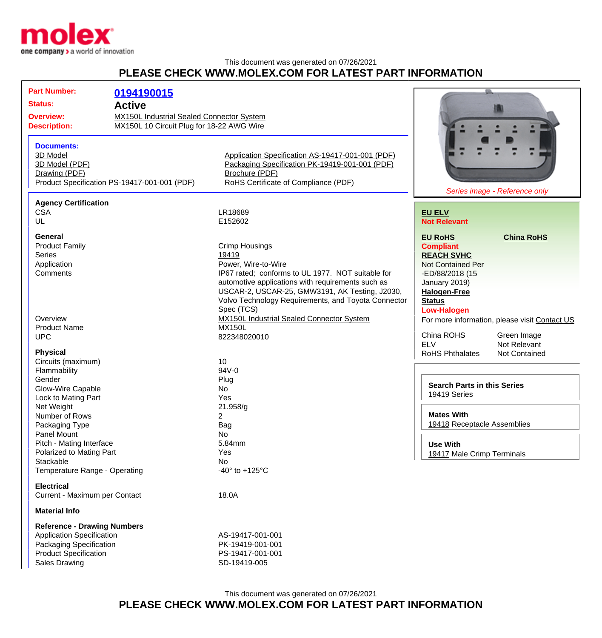

## This document was generated on 07/26/2021 **PLEASE CHECK WWW.MOLEX.COM FOR LATEST PART INFORMATION**

| <b>Part Number:</b>                   |                                                  |                                                     |                                    |                                               |
|---------------------------------------|--------------------------------------------------|-----------------------------------------------------|------------------------------------|-----------------------------------------------|
|                                       | 0194190015                                       |                                                     |                                    |                                               |
| <b>Status:</b><br><b>Active</b>       |                                                  |                                                     |                                    |                                               |
| <b>Overview:</b>                      | <b>MX150L Industrial Sealed Connector System</b> |                                                     |                                    |                                               |
| <b>Description:</b>                   | MX150L 10 Circuit Plug for 18-22 AWG Wire        |                                                     |                                    |                                               |
|                                       |                                                  |                                                     |                                    |                                               |
| <b>Documents:</b>                     |                                                  |                                                     |                                    |                                               |
| 3D Model                              |                                                  | Application Specification AS-19417-001-001 (PDF)    |                                    |                                               |
| 3D Model (PDF)                        |                                                  | Packaging Specification PK-19419-001-001 (PDF)      |                                    |                                               |
| Drawing (PDF)                         |                                                  | Brochure (PDF)                                      |                                    |                                               |
|                                       | Product Specification PS-19417-001-001 (PDF)     | RoHS Certificate of Compliance (PDF)                |                                    |                                               |
|                                       |                                                  |                                                     |                                    | Series image - Reference only                 |
| <b>Agency Certification</b>           |                                                  |                                                     |                                    |                                               |
| <b>CSA</b>                            |                                                  | LR18689                                             | <b>EU ELV</b>                      |                                               |
| UL                                    |                                                  | E152602                                             | <b>Not Relevant</b>                |                                               |
|                                       |                                                  |                                                     |                                    |                                               |
| <b>General</b>                        |                                                  |                                                     | <b>EU RoHS</b>                     | <b>China RoHS</b>                             |
| <b>Product Family</b>                 |                                                  | <b>Crimp Housings</b>                               | <b>Compliant</b>                   |                                               |
| <b>Series</b>                         |                                                  | 19419                                               | <b>REACH SVHC</b>                  |                                               |
| Application                           |                                                  | Power, Wire-to-Wire                                 | <b>Not Contained Per</b>           |                                               |
| Comments                              |                                                  | IP67 rated; conforms to UL 1977. NOT suitable for   | -ED/88/2018 (15                    |                                               |
|                                       |                                                  | automotive applications with requirements such as   | January 2019)                      |                                               |
|                                       |                                                  | USCAR-2, USCAR-25, GMW3191, AK Testing, J2030,      | <b>Halogen-Free</b>                |                                               |
|                                       |                                                  | Volvo Technology Requirements, and Toyota Connector | <b>Status</b>                      |                                               |
|                                       |                                                  | Spec (TCS)                                          | <b>Low-Halogen</b>                 |                                               |
| Overview                              |                                                  | <b>MX150L Industrial Sealed Connector System</b>    |                                    | For more information, please visit Contact US |
| <b>Product Name</b>                   |                                                  | <b>MX150L</b>                                       |                                    |                                               |
| <b>UPC</b>                            |                                                  | 822348020010                                        | China ROHS                         | Green Image                                   |
|                                       |                                                  |                                                     | <b>ELV</b>                         | Not Relevant                                  |
| <b>Physical</b>                       |                                                  |                                                     | <b>RoHS Phthalates</b>             | Not Contained                                 |
| Circuits (maximum)                    |                                                  | 10                                                  |                                    |                                               |
| Flammability                          |                                                  | 94V-0                                               |                                    |                                               |
| Gender                                |                                                  | Plug                                                | <b>Search Parts in this Series</b> |                                               |
| Glow-Wire Capable                     |                                                  | No                                                  | 19419 Series                       |                                               |
| Lock to Mating Part                   |                                                  | Yes                                                 |                                    |                                               |
| Net Weight                            |                                                  | 21.958/g                                            | <b>Mates With</b>                  |                                               |
| Number of Rows                        |                                                  | $\overline{2}$                                      | 19418 Receptacle Assemblies        |                                               |
| Packaging Type                        |                                                  | Bag                                                 |                                    |                                               |
| Panel Mount                           |                                                  | No                                                  |                                    |                                               |
| Pitch - Mating Interface              |                                                  | 5.84mm                                              | <b>Use With</b>                    |                                               |
| Polarized to Mating Part<br>Stackable |                                                  | Yes<br>No                                           | 19417 Male Crimp Terminals         |                                               |
| Temperature Range - Operating         |                                                  | -40 $\degree$ to +125 $\degree$ C                   |                                    |                                               |
|                                       |                                                  |                                                     |                                    |                                               |
| <b>Electrical</b>                     |                                                  |                                                     |                                    |                                               |
| Current - Maximum per Contact         |                                                  | 18.0A                                               |                                    |                                               |
| <b>Material Info</b>                  |                                                  |                                                     |                                    |                                               |
|                                       |                                                  |                                                     |                                    |                                               |
| <b>Reference - Drawing Numbers</b>    |                                                  |                                                     |                                    |                                               |
| <b>Application Specification</b>      |                                                  | AS-19417-001-001                                    |                                    |                                               |
| Packaging Specification               |                                                  | PK-19419-001-001                                    |                                    |                                               |
| <b>Product Specification</b>          |                                                  | PS-19417-001-001                                    |                                    |                                               |

Sales Drawing **SD-19419-005**